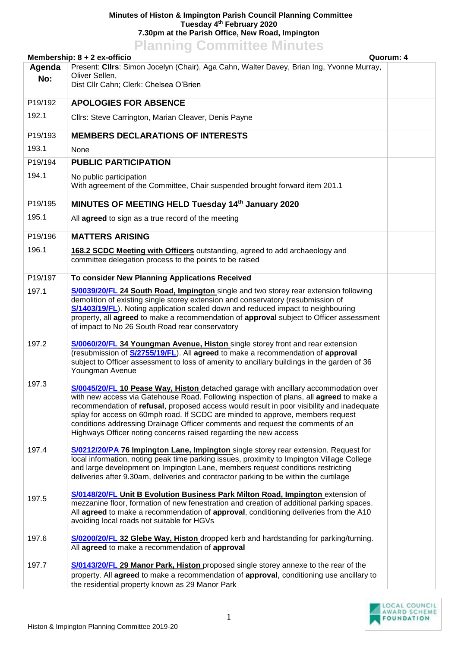## **Minutes of Histon & Impington Parish Council Planning Committee Tuesday 4 th February 2020 7.30pm at the Parish Office, New Road, Impington Planning Committee Minutes**

| <b>FIGHTING COMMITTEE MINUTES</b><br>Membership: 8 + 2 ex-officio<br>Quorum: 4                     |                                                                                                                                                                                                                                                                                                                                                                                                                                                                                                                     |  |  |
|----------------------------------------------------------------------------------------------------|---------------------------------------------------------------------------------------------------------------------------------------------------------------------------------------------------------------------------------------------------------------------------------------------------------------------------------------------------------------------------------------------------------------------------------------------------------------------------------------------------------------------|--|--|
| Present: Cllrs: Simon Jocelyn (Chair), Aga Cahn, Walter Davey, Brian Ing, Yvonne Murray,<br>Agenda |                                                                                                                                                                                                                                                                                                                                                                                                                                                                                                                     |  |  |
| No:                                                                                                | Oliver Sellen,                                                                                                                                                                                                                                                                                                                                                                                                                                                                                                      |  |  |
|                                                                                                    | Dist Cllr Cahn; Clerk: Chelsea O'Brien                                                                                                                                                                                                                                                                                                                                                                                                                                                                              |  |  |
| P19/192                                                                                            | <b>APOLOGIES FOR ABSENCE</b>                                                                                                                                                                                                                                                                                                                                                                                                                                                                                        |  |  |
| 192.1                                                                                              | Cllrs: Steve Carrington, Marian Cleaver, Denis Payne                                                                                                                                                                                                                                                                                                                                                                                                                                                                |  |  |
| P19/193                                                                                            | <b>MEMBERS DECLARATIONS OF INTERESTS</b>                                                                                                                                                                                                                                                                                                                                                                                                                                                                            |  |  |
| 193.1                                                                                              | None                                                                                                                                                                                                                                                                                                                                                                                                                                                                                                                |  |  |
| P19/194                                                                                            | <b>PUBLIC PARTICIPATION</b>                                                                                                                                                                                                                                                                                                                                                                                                                                                                                         |  |  |
| 194.1                                                                                              | No public participation<br>With agreement of the Committee, Chair suspended brought forward item 201.1                                                                                                                                                                                                                                                                                                                                                                                                              |  |  |
| P19/195                                                                                            | MINUTES OF MEETING HELD Tuesday 14th January 2020                                                                                                                                                                                                                                                                                                                                                                                                                                                                   |  |  |
| 195.1                                                                                              | All agreed to sign as a true record of the meeting                                                                                                                                                                                                                                                                                                                                                                                                                                                                  |  |  |
| P19/196                                                                                            | <b>MATTERS ARISING</b>                                                                                                                                                                                                                                                                                                                                                                                                                                                                                              |  |  |
| 196.1                                                                                              | 168.2 SCDC Meeting with Officers outstanding, agreed to add archaeology and<br>committee delegation process to the points to be raised                                                                                                                                                                                                                                                                                                                                                                              |  |  |
| P19/197                                                                                            | To consider New Planning Applications Received                                                                                                                                                                                                                                                                                                                                                                                                                                                                      |  |  |
| 197.1                                                                                              | S/0039/20/FL 24 South Road, Impington single and two storey rear extension following<br>demolition of existing single storey extension and conservatory (resubmission of<br>S/1403/19/FL). Noting application scaled down and reduced impact to neighbouring<br>property, all agreed to make a recommendation of approval subject to Officer assessment<br>of impact to No 26 South Road rear conservatory                                                                                                          |  |  |
| 197.2                                                                                              | S/0060/20/FL 34 Youngman Avenue, Histon single storey front and rear extension<br>(resubmission of <b>S/2755/19/FL</b> ). All agreed to make a recommendation of approval<br>subject to Officer assessment to loss of amenity to ancillary buildings in the garden of 36<br>Youngman Avenue                                                                                                                                                                                                                         |  |  |
| 197.3                                                                                              | S/0045/20/FL 10 Pease Way, Histon detached garage with ancillary accommodation over<br>with new access via Gatehouse Road. Following inspection of plans, all agreed to make a<br>recommendation of refusal, proposed access would result in poor visibility and inadequate<br>splay for access on 60mph road. If SCDC are minded to approve, members request<br>conditions addressing Drainage Officer comments and request the comments of an<br>Highways Officer noting concerns raised regarding the new access |  |  |
| 197.4                                                                                              | S/0212/20/PA 76 Impington Lane, Impington single storey rear extension. Request for<br>local information, noting peak time parking issues, proximity to Impington Village College<br>and large development on Impington Lane, members request conditions restricting<br>deliveries after 9.30am, deliveries and contractor parking to be within the curtilage                                                                                                                                                       |  |  |
| 197.5                                                                                              | S/0148/20/FL Unit B Evolution Business Park Milton Road, Impington extension of<br>mezzanine floor, formation of new fenestration and creation of additional parking spaces.<br>All agreed to make a recommendation of approval, conditioning deliveries from the A10<br>avoiding local roads not suitable for HGVs                                                                                                                                                                                                 |  |  |
| 197.6                                                                                              | S/0200/20/FL 32 Glebe Way, Histon dropped kerb and hardstanding for parking/turning.<br>All agreed to make a recommendation of approval                                                                                                                                                                                                                                                                                                                                                                             |  |  |
| 197.7                                                                                              | S/0143/20/FL 29 Manor Park, Histon proposed single storey annexe to the rear of the<br>property. All agreed to make a recommendation of approval, conditioning use ancillary to<br>the residential property known as 29 Manor Park                                                                                                                                                                                                                                                                                  |  |  |